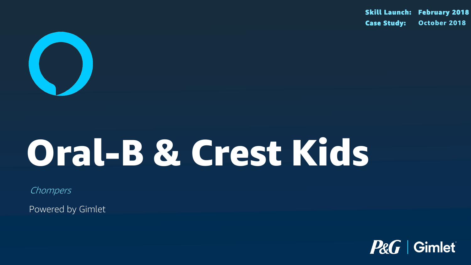

## Oral-B & Crest Kids

Chompers

Powered by Gimlet

#### Skill Launch: February 2018 Case Study: October 2018



### P&G Gimlet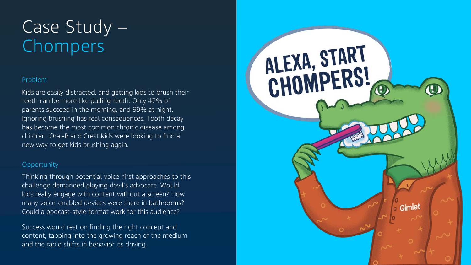#### Problem

Kids are easily distracted, and getting kids to brush their teeth can be more like pulling teeth. Only 47% of parents succeed in the morning, and 69% at night. Ignoring brushing has real consequences. Tooth decay has become the most common chronic disease among children. Oral-B and Crest Kids were looking to find a new way to get kids brushing again.

#### **Opportunity**

### Case Study – Chompers

Thinking through potential voice-first approaches to this challenge demanded playing devil's advocate. Would kids really engage with content without a screen? How many voice-enabled devices were there in bathrooms? Could a podcast-style format work for this audience?

Success would rest on finding the right concept and content, tapping into the growing reach of the medium and the rapid shifts in behavior its driving.

# ALEXA, START<br>CHOMPERS!

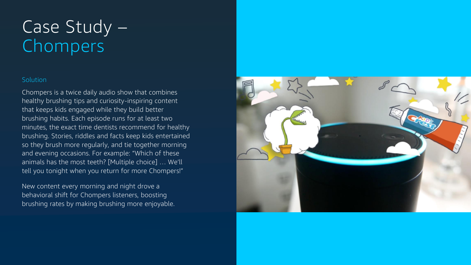#### Solution

### Case Study – Chompers

Chompers is a twice daily audio show that combines healthy brushing tips and curiosity-inspiring content that keeps kids engaged while they build better brushing habits. Each episode runs for at least two minutes, the exact time dentists recommend for healthy brushing. Stories, riddles and facts keep kids entertained so they brush more regularly, and tie together morning and evening occasions. For example: "Which of these animals has the most teeth? [Multiple choice] … We'll tell you tonight when you return for more Chompers!"

New content every morning and night drove a behavioral shift for Chompers listeners, boosting brushing rates by making brushing more enjoyable.

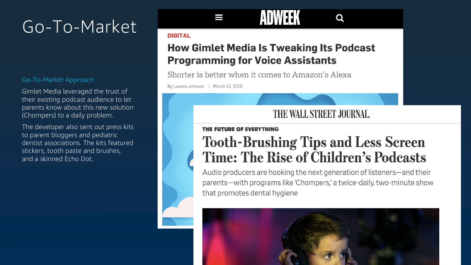#### Go-To-Market Approach

Gimlet Media leveraged the trust of their existing podcast audience to let parents know about this new solution (Chompers) to a daily problem.

The developer also sent out press kits to parent bloggers and pediatric dentist associations. The kits featured stickers, tooth paste and brushes, and a skinned Echo Dot.

### AUVV

#### **DIGITAL**

### How Gimlet Media Is Tweaking Its Podcast<br>Programming for Voice Assistants

Shorter is better when it comes to Amazon's Alexa

By Lauren Johnson | March 12, 2018

### THE WALL STREET JOURNAL.

### THE FUTURE OF EVERYTHING **Tooth-Brushing Tips and Less Screen** Time: The Rise of Children's Podcasts<br>Audio producers are hooking the next generation of listeners—and their

parents-with programs like 'Chompers,' a twice-daily, two-minute show that promotes dental hygiene



### Q

### Go-To-Market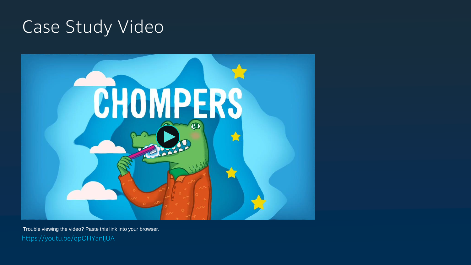### Case Study Video



Trouble viewing the video? Paste this link into your browser. https://youtu.be/qpOHYanIjUA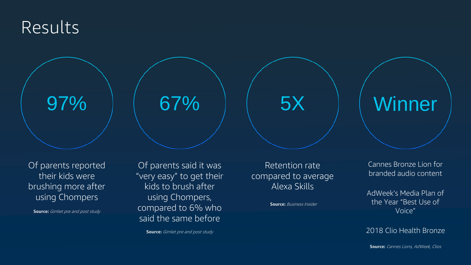### Results

Of parents said it was "very easy" to get their kids to brush after using Chompers, compared to 6% who said the same before

67% | 5X

**Source:** Gimlet pre and post study

Of parents reported their kids were brushing more after using Chompers

**Source:** Gimlet pre and post study

Retention rate compared to average Alexa Skills

**Source: Business Insider** 

### 97% | 67% | 5X | Winner

Cannes Bronze Lion for branded audio content

AdWeek's Media Plan of the Year "Best Use of Voice"

2018 Clio Health Bronze

**Source:** Cannes Lions, AdWeek, Clios